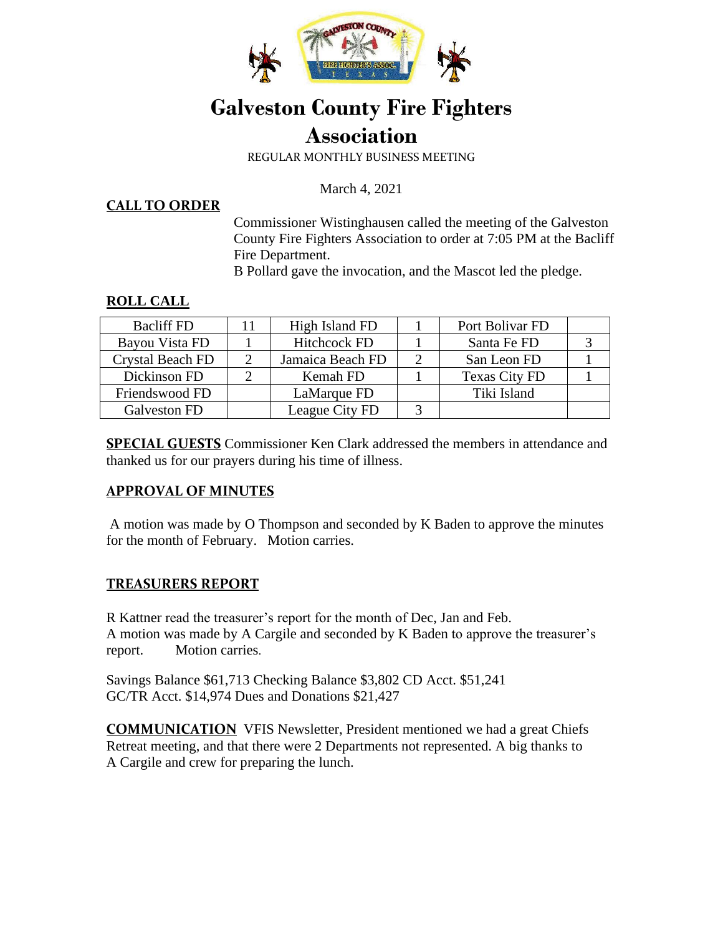

# **Galveston County Fire Fighters Association**

REGULAR MONTHLY BUSINESS MEETING

March 4, 2021

**CALL TO ORDER**

Commissioner Wistinghausen called the meeting of the Galveston County Fire Fighters Association to order at 7:05 PM at the Bacliff Fire Department.

B Pollard gave the invocation, and the Mascot led the pledge.

# **ROLL CALL**

| <b>Bacliff FD</b> | High Island FD      | Port Bolivar FD      |  |
|-------------------|---------------------|----------------------|--|
| Bayou Vista FD    | <b>Hitchcock FD</b> | Santa Fe FD          |  |
| Crystal Beach FD  | Jamaica Beach FD    | San Leon FD          |  |
| Dickinson FD      | Kemah FD            | <b>Texas City FD</b> |  |
| Friendswood FD    | LaMarque FD         | Tiki Island          |  |
| Galveston FD      | League City FD      |                      |  |

**SPECIAL GUESTS** Commissioner Ken Clark addressed the members in attendance and thanked us for our prayers during his time of illness.

# **APPROVAL OF MINUTES**

A motion was made by O Thompson and seconded by K Baden to approve the minutes for the month of February. Motion carries.

# **TREASURERS REPORT**

R Kattner read the treasurer's report for the month of Dec, Jan and Feb. A motion was made by A Cargile and seconded by K Baden to approve the treasurer's report. Motion carries.

Savings Balance \$61,713 Checking Balance \$3,802 CD Acct. \$51,241 GC/TR Acct. \$14,974 Dues and Donations \$21,427

**COMMUNICATION** VFIS Newsletter, President mentioned we had a great Chiefs Retreat meeting, and that there were 2 Departments not represented. A big thanks to A Cargile and crew for preparing the lunch.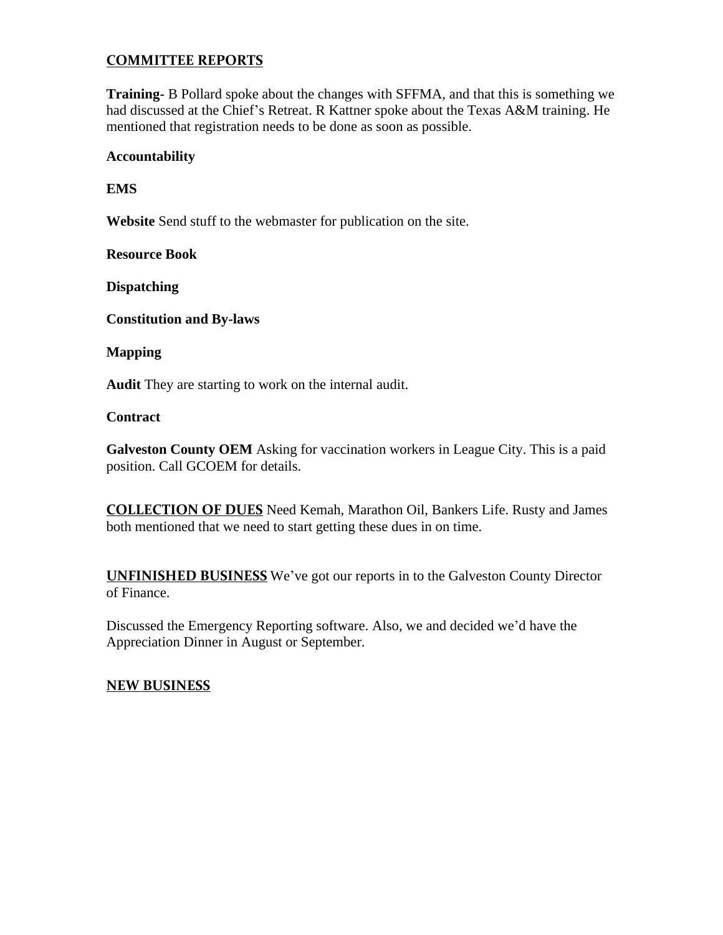# **COMMITTEE REPORTS**

**Training-** B Pollard spoke about the changes with SFFMA, and that this is something we had discussed at the Chief's Retreat. R Kattner spoke about the Texas A&M training. He mentioned that registration needs to be done as soon as possible.

#### **Accountability**

**EMS** 

**Website** Send stuff to the webmaster for publication on the site.

**Resource Book** 

**Dispatching** 

**Constitution and By-laws** 

#### **Mapping**

**Audit** They are starting to work on the internal audit.

#### **Contract**

**Galveston County OEM** Asking for vaccination workers in League City. This is a paid position. Call GCOEM for details.

**COLLECTION OF DUES** Need Kemah, Marathon Oil, Bankers Life. Rusty and James both mentioned that we need to start getting these dues in on time.

**UNFINISHED BUSINESS** We've got our reports in to the Galveston County Director of Finance.

Discussed the Emergency Reporting software. Also, we and decided we'd have the Appreciation Dinner in August or September.

# **NEW BUSINESS**